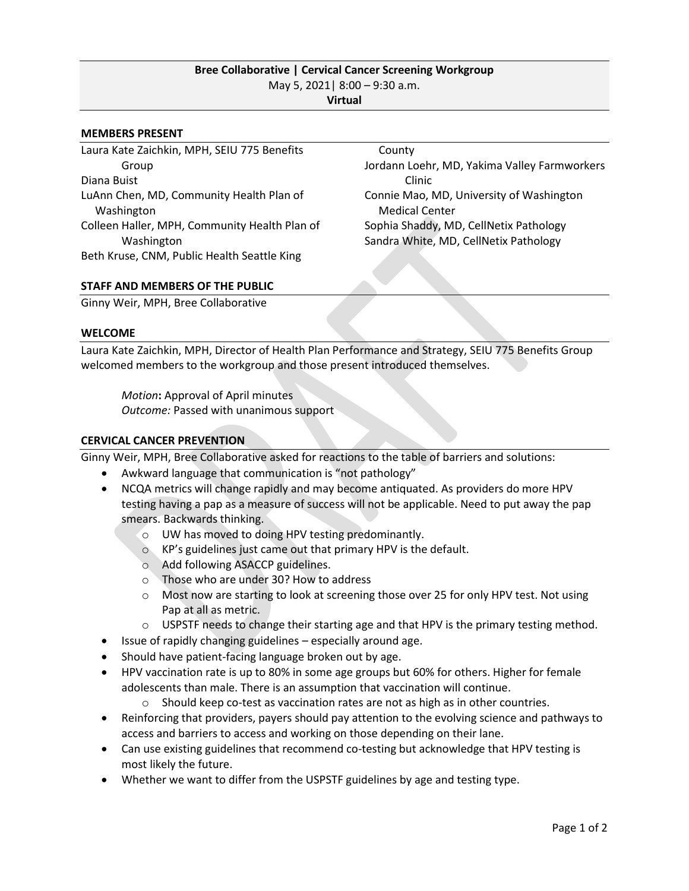# **Bree Collaborative | Cervical Cancer Screening Workgroup** May 5, 2021| 8:00 – 9:30 a.m. **Virtual**

#### **MEMBERS PRESENT**

Laura Kate Zaichkin, MPH, SEIU 775 Benefits Group Diana Buist LuAnn Chen, MD, Community Health Plan of Washington Colleen Haller, MPH, Community Health Plan of Washington Beth Kruse, CNM, Public Health Seattle King

 County Jordann Loehr, MD, Yakima Valley Farmworkers Clinic Connie Mao, MD, University of Washington Medical Center Sophia Shaddy, MD, CellNetix Pathology Sandra White, MD, CellNetix Pathology

### **STAFF AND MEMBERS OF THE PUBLIC**

Ginny Weir, MPH, Bree Collaborative

#### **WELCOME**

Laura Kate Zaichkin, MPH, Director of Health Plan Performance and Strategy, SEIU 775 Benefits Group welcomed members to the workgroup and those present introduced themselves.

*Motion***:** Approval of April minutes *Outcome:* Passed with unanimous support

### **CERVICAL CANCER PREVENTION**

Ginny Weir, MPH, Bree Collaborative asked for reactions to the table of barriers and solutions:

- Awkward language that communication is "not pathology"
- NCQA metrics will change rapidly and may become antiquated. As providers do more HPV testing having a pap as a measure of success will not be applicable. Need to put away the pap smears. Backwards thinking.
	- o UW has moved to doing HPV testing predominantly.
	- o KP's guidelines just came out that primary HPV is the default.
	- o Add following ASACCP guidelines.
	- o Those who are under 30? How to address
	- $\circ$  Most now are starting to look at screening those over 25 for only HPV test. Not using Pap at all as metric.
	- $\circ$  USPSTF needs to change their starting age and that HPV is the primary testing method.
- Issue of rapidly changing guidelines especially around age.
- Should have patient-facing language broken out by age.
- HPV vaccination rate is up to 80% in some age groups but 60% for others. Higher for female adolescents than male. There is an assumption that vaccination will continue.
	- $\circ$  Should keep co-test as vaccination rates are not as high as in other countries.
- Reinforcing that providers, payers should pay attention to the evolving science and pathways to access and barriers to access and working on those depending on their lane.
- Can use existing guidelines that recommend co-testing but acknowledge that HPV testing is most likely the future.
- Whether we want to differ from the USPSTF guidelines by age and testing type.